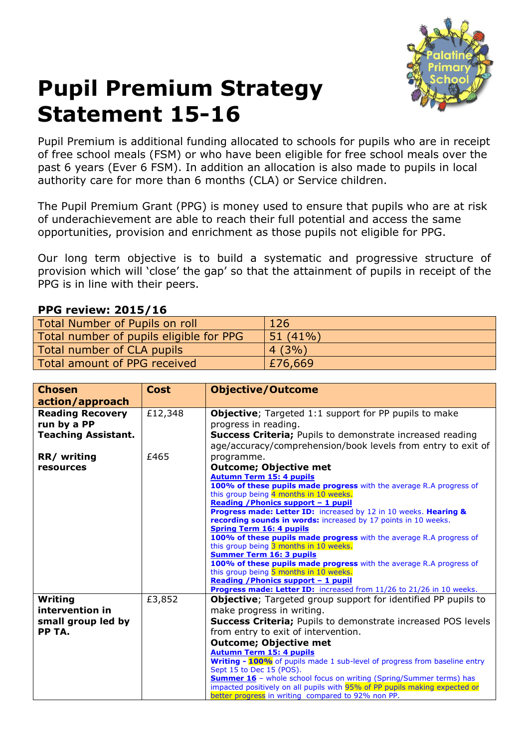

## **Pupil Premium Strategy Statement 15-16**

Pupil Premium is additional funding allocated to schools for pupils who are in receipt of free school meals (FSM) or who have been eligible for free school meals over the past 6 years (Ever 6 FSM). In addition an allocation is also made to pupils in local authority care for more than 6 months (CLA) or Service children.

The Pupil Premium Grant (PPG) is money used to ensure that pupils who are at risk of underachievement are able to reach their full potential and access the same opportunities, provision and enrichment as those pupils not eligible for PPG.

Our long term objective is to build a systematic and progressive structure of provision which will 'close' the gap' so that the attainment of pupils in receipt of the PPG is in line with their peers.

## **PPG review: 2015/16**

| Total Number of Pupils on roll          | 126        |
|-----------------------------------------|------------|
| Total number of pupils eligible for PPG | $51(41\%)$ |
| Total number of CLA pupils              | 4(3%)      |
| Total amount of PPG received            | £76,669    |

| <b>Chosen</b><br>action/approach                                     | <b>Cost</b> | <b>Objective/Outcome</b>                                                                                                                                                                                                                                                                                                                                                                                                                                                                                                                                                                                                                                                                                                    |
|----------------------------------------------------------------------|-------------|-----------------------------------------------------------------------------------------------------------------------------------------------------------------------------------------------------------------------------------------------------------------------------------------------------------------------------------------------------------------------------------------------------------------------------------------------------------------------------------------------------------------------------------------------------------------------------------------------------------------------------------------------------------------------------------------------------------------------------|
| <b>Reading Recovery</b><br>run by a PP<br><b>Teaching Assistant.</b> | £12,348     | <b>Objective</b> ; Targeted 1:1 support for PP pupils to make<br>progress in reading.<br><b>Success Criteria;</b> Pupils to demonstrate increased reading<br>age/accuracy/comprehension/book levels from entry to exit of                                                                                                                                                                                                                                                                                                                                                                                                                                                                                                   |
| RR/ writing<br>resources                                             | £465        | programme.<br><b>Outcome; Objective met</b><br><b>Autumn Term 15: 4 pupils</b><br>100% of these pupils made progress with the average R.A progress of<br>this group being 4 months in 10 weeks.<br>Reading / Phonics support - 1 pupil<br>Progress made: Letter ID: increased by 12 in 10 weeks. Hearing &<br>recording sounds in words: increased by 17 points in 10 weeks.<br><b>Spring Term 16: 4 pupils</b><br>100% of these pupils made progress with the average R.A progress of<br>this group being 3 months in 10 weeks.<br><b>Summer Term 16: 3 pupils</b><br>100% of these pupils made progress with the average R.A progress of<br>this group being 5 months in 10 weeks.<br>Reading / Phonics support - 1 pupil |
| Writing<br>intervention in<br>small group led by<br>PP TA.           | £3,852      | Progress made: Letter ID: increased from 11/26 to 21/26 in 10 weeks.<br><b>Objective</b> ; Targeted group support for identified PP pupils to<br>make progress in writing.<br><b>Success Criteria;</b> Pupils to demonstrate increased POS levels<br>from entry to exit of intervention.<br><b>Outcome; Objective met</b><br><b>Autumn Term 15: 4 pupils</b><br>Writing - 100% of pupils made 1 sub-level of progress from baseline entry<br>Sept 15 to Dec 15 (POS).<br><b>Summer 16</b> - whole school focus on writing (Spring/Summer terms) has<br>impacted positively on all pupils with 95% of PP pupils making expected or<br>better progress in writing compared to 92% non PP.                                     |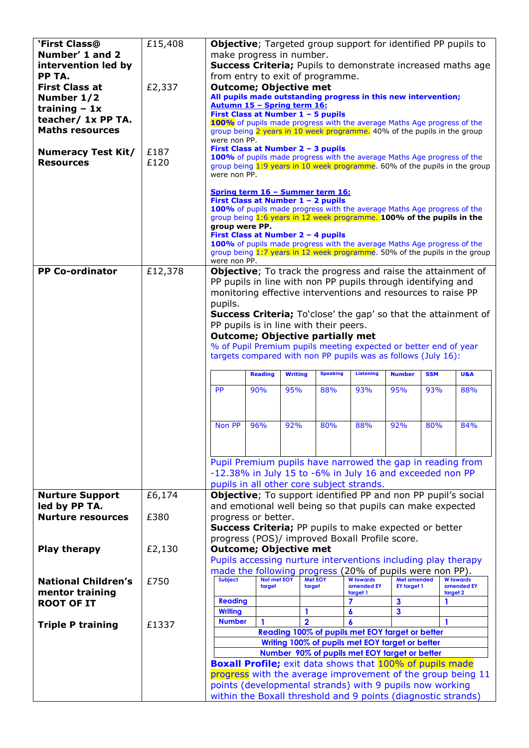| <b>'First Class@</b>                      | £15,408 |                                                                                                        |                    |                |                                         |                                                                                                  |                    |     |                                                                            |  |
|-------------------------------------------|---------|--------------------------------------------------------------------------------------------------------|--------------------|----------------|-----------------------------------------|--------------------------------------------------------------------------------------------------|--------------------|-----|----------------------------------------------------------------------------|--|
| Number' 1 and 2                           |         | Objective; Targeted group support for identified PP pupils to<br>make progress in number.              |                    |                |                                         |                                                                                                  |                    |     |                                                                            |  |
| intervention led by                       |         | <b>Success Criteria;</b> Pupils to demonstrate increased maths age                                     |                    |                |                                         |                                                                                                  |                    |     |                                                                            |  |
| PP TA.                                    |         | from entry to exit of programme.                                                                       |                    |                |                                         |                                                                                                  |                    |     |                                                                            |  |
| <b>First Class at</b>                     | £2,337  | <b>Outcome; Objective met</b>                                                                          |                    |                |                                         |                                                                                                  |                    |     |                                                                            |  |
| Number 1/2                                |         | All pupils made outstanding progress in this new intervention;                                         |                    |                |                                         |                                                                                                  |                    |     |                                                                            |  |
| training $-1x$                            |         | Autumn 15 - Spring term 16:                                                                            |                    |                |                                         |                                                                                                  |                    |     |                                                                            |  |
| teacher/ 1x PP TA.                        |         |                                                                                                        |                    |                | First Class at Number 1 - 5 pupils      |                                                                                                  |                    |     |                                                                            |  |
| <b>Maths resources</b>                    |         |                                                                                                        |                    |                |                                         | 100% of pupils made progress with the average Maths Age progress of the                          |                    |     |                                                                            |  |
|                                           |         | group being 2 years in 10 week programme. 40% of the pupils in the group<br>were non PP.               |                    |                |                                         |                                                                                                  |                    |     |                                                                            |  |
|                                           | £187    | First Class at Number 2 - 3 pupils                                                                     |                    |                |                                         |                                                                                                  |                    |     |                                                                            |  |
| <b>Numeracy Test Kit/</b>                 |         | 100% of pupils made progress with the average Maths Age progress of the                                |                    |                |                                         |                                                                                                  |                    |     |                                                                            |  |
| <b>Resources</b>                          | £120    | group being 1:9 years in 10 week programme. 60% of the pupils in the group                             |                    |                |                                         |                                                                                                  |                    |     |                                                                            |  |
|                                           |         | were non PP.                                                                                           |                    |                |                                         |                                                                                                  |                    |     |                                                                            |  |
|                                           |         |                                                                                                        |                    |                | Spring term 16 - Summer term 16:        |                                                                                                  |                    |     |                                                                            |  |
|                                           |         |                                                                                                        |                    |                | First Class at Number 1 - 2 pupils      |                                                                                                  |                    |     |                                                                            |  |
|                                           |         |                                                                                                        |                    |                |                                         | 100% of pupils made progress with the average Maths Age progress of the                          |                    |     |                                                                            |  |
|                                           |         |                                                                                                        |                    |                |                                         | group being 1:6 years in 12 week programme. 100% of the pupils in the                            |                    |     |                                                                            |  |
|                                           |         | group were PP.                                                                                         |                    |                |                                         |                                                                                                  |                    |     |                                                                            |  |
|                                           |         |                                                                                                        |                    |                | First Class at Number 2 - 4 pupils      | 100% of pupils made progress with the average Maths Age progress of the                          |                    |     |                                                                            |  |
|                                           |         |                                                                                                        |                    |                |                                         |                                                                                                  |                    |     | group being 1:7 years in 12 week programme. 50% of the pupils in the group |  |
|                                           |         | were non PP.                                                                                           |                    |                |                                         |                                                                                                  |                    |     |                                                                            |  |
| <b>PP Co-ordinator</b>                    | £12,378 |                                                                                                        |                    |                |                                         |                                                                                                  |                    |     | Objective; To track the progress and raise the attainment of               |  |
|                                           |         |                                                                                                        |                    |                |                                         | PP pupils in line with non PP pupils through identifying and                                     |                    |     |                                                                            |  |
|                                           |         |                                                                                                        |                    |                |                                         | monitoring effective interventions and resources to raise PP                                     |                    |     |                                                                            |  |
|                                           |         | pupils.                                                                                                |                    |                |                                         |                                                                                                  |                    |     |                                                                            |  |
|                                           |         |                                                                                                        |                    |                |                                         |                                                                                                  |                    |     | <b>Success Criteria;</b> To'close' the gap' so that the attainment of      |  |
|                                           |         |                                                                                                        |                    |                | PP pupils is in line with their peers.  |                                                                                                  |                    |     |                                                                            |  |
|                                           |         |                                                                                                        |                    |                | <b>Outcome; Objective partially met</b> |                                                                                                  |                    |     |                                                                            |  |
|                                           |         |                                                                                                        |                    |                |                                         | % of Pupil Premium pupils meeting expected or better end of year                                 |                    |     |                                                                            |  |
|                                           |         |                                                                                                        |                    |                |                                         | targets compared with non PP pupils was as follows (July 16):                                    |                    |     |                                                                            |  |
|                                           |         |                                                                                                        |                    |                |                                         |                                                                                                  |                    |     |                                                                            |  |
|                                           |         | <b>SSM</b><br><b>Reading</b><br><b>Writing</b><br><b>Speaking</b><br><b>Listening</b><br><b>Number</b> |                    |                |                                         |                                                                                                  |                    |     |                                                                            |  |
|                                           |         |                                                                                                        |                    |                |                                         |                                                                                                  |                    |     | <b>U&amp;A</b>                                                             |  |
|                                           |         |                                                                                                        |                    |                |                                         |                                                                                                  |                    |     |                                                                            |  |
|                                           |         | <b>PP</b>                                                                                              | 90%                | 95%            | 88%                                     | 93%                                                                                              | 95%                | 93% | 88%                                                                        |  |
|                                           |         |                                                                                                        |                    |                |                                         |                                                                                                  |                    |     |                                                                            |  |
|                                           |         |                                                                                                        |                    |                |                                         |                                                                                                  |                    |     |                                                                            |  |
|                                           |         | Non PP                                                                                                 | 96%                | 92%            | 80%                                     | 88%                                                                                              | 92%                | 80% | 84%                                                                        |  |
|                                           |         |                                                                                                        |                    |                |                                         |                                                                                                  |                    |     |                                                                            |  |
|                                           |         |                                                                                                        |                    |                |                                         |                                                                                                  |                    |     |                                                                            |  |
|                                           |         |                                                                                                        |                    |                |                                         |                                                                                                  |                    |     |                                                                            |  |
|                                           |         |                                                                                                        |                    |                |                                         | Pupil Premium pupils have narrowed the gap in reading from                                       |                    |     |                                                                            |  |
|                                           |         |                                                                                                        |                    |                |                                         | -12.38% in July 15 to -6% in July 16 and exceeded non PP                                         |                    |     |                                                                            |  |
|                                           |         |                                                                                                        |                    |                |                                         | pupils in all other core subject strands.                                                        |                    |     |                                                                            |  |
| <b>Nurture Support</b>                    | £6,174  |                                                                                                        |                    |                |                                         | <b>Objective</b> ; To support identified PP and non PP pupil's social                            |                    |     |                                                                            |  |
| led by PP TA.<br><b>Nurture resources</b> | £380    |                                                                                                        |                    |                |                                         | and emotional well being so that pupils can make expected                                        |                    |     |                                                                            |  |
|                                           |         | progress or better.                                                                                    |                    |                |                                         |                                                                                                  |                    |     |                                                                            |  |
|                                           |         |                                                                                                        |                    |                |                                         | <b>Success Criteria;</b> PP pupils to make expected or better                                    |                    |     |                                                                            |  |
|                                           |         |                                                                                                        |                    |                |                                         | progress (POS)/ improved Boxall Profile score.                                                   |                    |     |                                                                            |  |
| <b>Play therapy</b>                       | £2,130  | <b>Outcome; Objective met</b>                                                                          |                    |                |                                         |                                                                                                  |                    |     |                                                                            |  |
|                                           |         |                                                                                                        |                    |                |                                         | Pupils accessing nurture interventions including play therapy                                    |                    |     |                                                                            |  |
|                                           |         | <b>Subject</b>                                                                                         | <b>Not met EOY</b> |                | <b>Met EOY</b>                          | made the following progress (20% of pupils were non PP).<br><b>W</b> towards                     | <b>Met amended</b> |     | <b>W</b> towards                                                           |  |
| <b>National Children's</b>                | £750    |                                                                                                        | target             |                | target                                  | amended EY                                                                                       | <b>EY target 1</b> |     | amended EY                                                                 |  |
| mentor training                           |         | <b>Reading</b>                                                                                         |                    |                |                                         | target 1<br>7                                                                                    | $\mathbf{3}$       | 1   | target 2                                                                   |  |
| <b>ROOT OF IT</b>                         |         | <b>Writing</b>                                                                                         |                    | 1              |                                         | 6                                                                                                | 3                  |     |                                                                            |  |
|                                           |         | <b>Number</b>                                                                                          | $\mathbf{1}$       | $\overline{2}$ |                                         | 6                                                                                                |                    | 1   |                                                                            |  |
| <b>Triple P training</b>                  | £1337   |                                                                                                        |                    |                |                                         |                                                                                                  |                    |     |                                                                            |  |
|                                           |         |                                                                                                        |                    |                |                                         | Reading 100% of pupils met EOY target or better                                                  |                    |     |                                                                            |  |
|                                           |         |                                                                                                        |                    |                |                                         | Writing 100% of pupils met EOY target or better<br>Number 90% of pupils met EOY target or better |                    |     |                                                                            |  |
|                                           |         |                                                                                                        |                    |                |                                         | <b>Boxall Profile;</b> exit data shows that 100% of pupils made                                  |                    |     |                                                                            |  |
|                                           |         |                                                                                                        |                    |                |                                         |                                                                                                  |                    |     | progress with the average improvement of the group being 11                |  |
|                                           |         |                                                                                                        |                    |                |                                         | points (developmental strands) with 9 pupils now working                                         |                    |     |                                                                            |  |